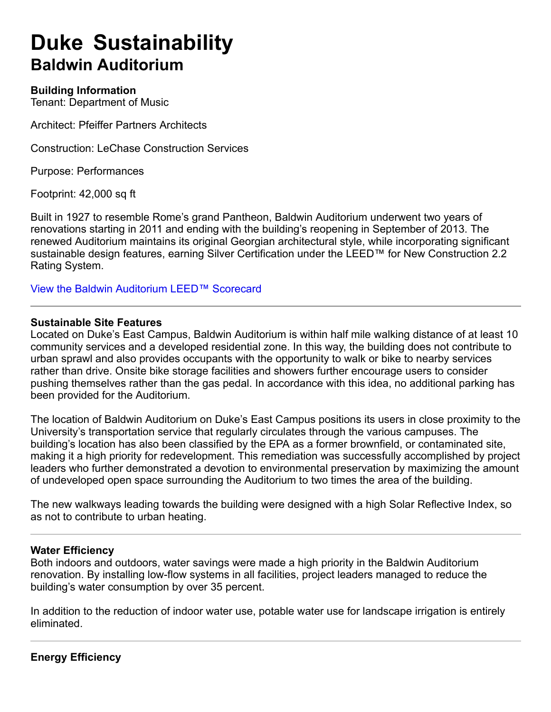# **Duke Sustainability Baldwin Auditorium**

# **Building Information**

Tenant: Department of Music

Architect: Pfeiffer Partners Architects

Construction: LeChase Construction Services

Purpose: Performances

Footprint: 42,000 sq ft

Built in 1927 to resemble Rome's grand Pantheon, Baldwin Auditorium underwent two years of renovations starting in 2011 and ending with the building's reopening in September of 2013. The renewed Auditorium maintains its original Georgian architectural style, while incorporating significant sustainable design features, earning Silver Certification under the LEED™ for New Construction 2.2 Rating System.

View the Baldwin Auditorium LEED™ Scorecard

#### **Sustainable Site Features**

Located on Duke's East Campus, Baldwin Auditorium is within half mile walking distance of at least 10 community services and a developed residential zone. In this way, the building does not contribute to urban sprawl and also provides occupants with the opportunity to walk or bike to nearby services rather than drive. Onsite bike storage facilities and showers further encourage users to consider pushing themselves rather than the gas pedal. In accordance with this idea, no additional parking has been provided for the Auditorium.

The location of Baldwin Auditorium on Duke's East Campus positions its users in close proximity to the University's transportation service that regularly circulates through the various campuses. The building's location has also been classified by the EPA as a former brownfield, or contaminated site, making it a high priority for redevelopment. This remediation was successfully accomplished by project leaders who further demonstrated a devotion to environmental preservation by maximizing the amount of undeveloped open space surrounding the Auditorium to two times the area of the building.

The new walkways leading towards the building were designed with a high Solar Reflective Index, so as not to contribute to urban heating.

#### **Water Efficiency**

Both indoors and outdoors, water savings were made a high priority in the Baldwin Auditorium renovation. By installing low-flow systems in all facilities, project leaders managed to reduce the building's water consumption by over 35 percent.

In addition to the reduction of indoor water use, potable water use for landscape irrigation is entirely eliminated.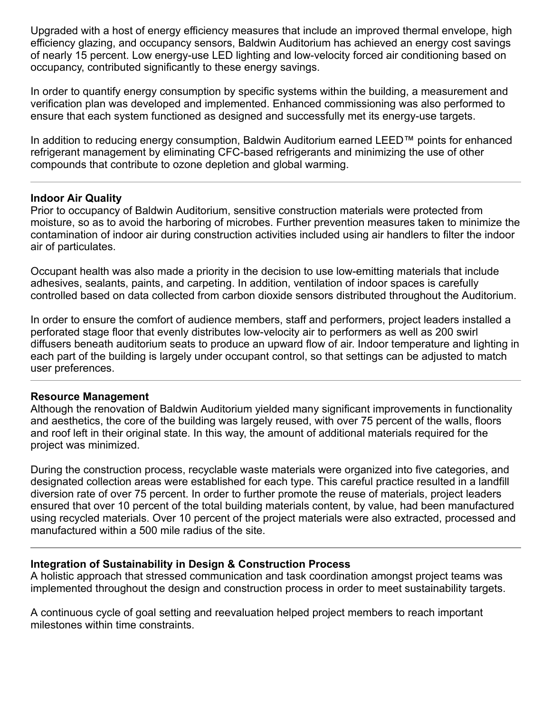Upgraded with a host of energy efficiency measures that include an improved thermal envelope, high efficiency glazing, and occupancy sensors, Baldwin Auditorium has achieved an energy cost savings of nearly 15 percent. Low energy-use LED lighting and low-velocity forced air conditioning based on occupancy, contributed significantly to these energy savings.

In order to quantify energy consumption by specific systems within the building, a measurement and verification plan was developed and implemented. Enhanced commissioning was also performed to ensure that each system functioned as designed and successfully met its energy-use targets.

In addition to reducing energy consumption, Baldwin Auditorium earned LEED™ points for enhanced refrigerant management by eliminating CFC-based refrigerants and minimizing the use of other compounds that contribute to ozone depletion and global warming.

### **Indoor Air Quality**

Prior to occupancy of Baldwin Auditorium, sensitive construction materials were protected from moisture, so as to avoid the harboring of microbes. Further prevention measures taken to minimize the contamination of indoor air during construction activities included using air handlers to filter the indoor air of particulates.

Occupant health was also made a priority in the decision to use low-emitting materials that include adhesives, sealants, paints, and carpeting. In addition, ventilation of indoor spaces is carefully controlled based on data collected from carbon dioxide sensors distributed throughout the Auditorium.

In order to ensure the comfort of audience members, staff and performers, project leaders installed a perforated stage floor that evenly distributes low-velocity air to performers as well as 200 swirl diffusers beneath auditorium seats to produce an upward flow of air. Indoor temperature and lighting in each part of the building is largely under occupant control, so that settings can be adjusted to match user preferences.

#### **Resource Management**

Although the renovation of Baldwin Auditorium yielded many significant improvements in functionality and aesthetics, the core of the building was largely reused, with over 75 percent of the walls, floors and roof left in their original state. In this way, the amount of additional materials required for the project was minimized.

During the construction process, recyclable waste materials were organized into five categories, and designated collection areas were established for each type. This careful practice resulted in a landfill diversion rate of over 75 percent. In order to further promote the reuse of materials, project leaders ensured that over 10 percent of the total building materials content, by value, had been manufactured using recycled materials. Over 10 percent of the project materials were also extracted, processed and manufactured within a 500 mile radius of the site.

# **Integration of Sustainability in Design & Construction Process**

A holistic approach that stressed communication and task coordination amongst project teams was implemented throughout the design and construction process in order to meet sustainability targets.

A continuous cycle of goal setting and reevaluation helped project members to reach important milestones within time constraints.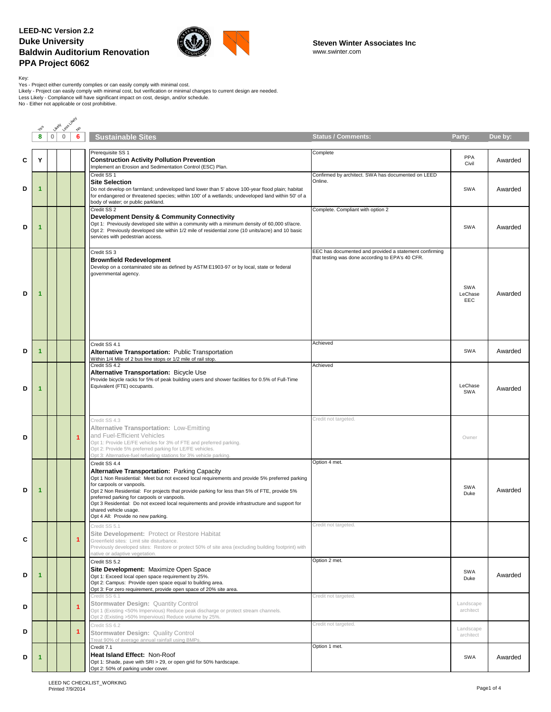

Key:<br>Yes - Project either currently complies or can easily comply with minimal cost.<br>Likely - Project can easily comply with minimal cost, but verification or minimal changes to current design are needed.<br>Less Likely - Com

|   |                      |                | Less Likely<br><b>Likely</b> |                      |                                                                                                                                                                                                                                                                                                                                                                                                                                                                                                              |                                                                                                            |                              |         |
|---|----------------------|----------------|------------------------------|----------------------|--------------------------------------------------------------------------------------------------------------------------------------------------------------------------------------------------------------------------------------------------------------------------------------------------------------------------------------------------------------------------------------------------------------------------------------------------------------------------------------------------------------|------------------------------------------------------------------------------------------------------------|------------------------------|---------|
|   | 8                    | 0 <sup>1</sup> | $\mathbf 0$                  | $\phi_{\rm o}$<br>6  | <b>Sustainable Sites</b>                                                                                                                                                                                                                                                                                                                                                                                                                                                                                     | <b>Status / Comments:</b>                                                                                  | Party:                       | Due by: |
|   |                      |                |                              |                      |                                                                                                                                                                                                                                                                                                                                                                                                                                                                                                              |                                                                                                            |                              |         |
| С | Y                    |                |                              |                      | Prerequisite SS 1<br><b>Construction Activity Pollution Prevention</b><br>Implement an Erosion and Sedimentation Control (ESC) Plan.                                                                                                                                                                                                                                                                                                                                                                         | Complete                                                                                                   | PPA<br>Civil                 | Awarded |
| D | 1                    |                |                              |                      | Credit SS 1<br><b>Site Selection</b><br>Do not develop on farmland; undeveloped land lower than 5' above 100-year flood plain; habitat<br>for endangered or threatened species; within 100' of a wetlands; undeveloped land within 50' of a<br>body of water; or public parkland.                                                                                                                                                                                                                            | Confirmed by architect. SWA has documented on LEED<br>Online.                                              | <b>SWA</b>                   | Awarded |
| D | $\mathbf{1}$         |                |                              |                      | Credit SS <sub>2</sub><br>Development Density & Community Connectivity<br>Opt 1: Previously developed site within a community with a minimum density of 60,000 sf/acre.<br>Opt 2: Previously developed site within 1/2 mile of residential zone (10 units/acre) and 10 basic<br>services with pedestrian access.                                                                                                                                                                                             | Complete. Compliant with option 2                                                                          | <b>SWA</b>                   | Awarded |
| D | 1                    |                |                              |                      | Credit SS 3<br><b>Brownfield Redevelopment</b><br>Develop on a contaminated site as defined by ASTM E1903-97 or by local, state or federal<br>governmental agency.                                                                                                                                                                                                                                                                                                                                           | EEC has documented and provided a statement confirming<br>that testing was done according to EPA's 40 CFR. | <b>SWA</b><br>LeChase<br>EEC | Awarded |
| D | 1                    |                |                              |                      | Credit SS 4.1<br><b>Alternative Transportation: Public Transportation</b><br>Within 1/4 Mile of 2 bus line stops or 1/2 mile of rail stop.                                                                                                                                                                                                                                                                                                                                                                   | Achieved                                                                                                   | SWA                          | Awarded |
| D | 1                    |                |                              |                      | Credit SS 4.2<br>Alternative Transportation: Bicycle Use<br>Provide bicycle racks for 5% of peak building users and shower facilities for 0.5% of Full-Time<br>Equivalent (FTE) occupants.                                                                                                                                                                                                                                                                                                                   | Achieved                                                                                                   | LeChase<br><b>SWA</b>        | Awarded |
| D |                      |                |                              | $\overline{1}$       | Credit SS 4.3<br>Alternative Transportation: Low-Emitting<br>and Fuel-Efficient Vehicles<br>Opt 1: Provide LE/FE vehicles for 3% of FTE and preferred parking.<br>Opt 2: Provide 5% preferred parking for LE/FE vehicles.<br>Opt 3: Alternative-fuel refueling stations for 3% vehicle parking.                                                                                                                                                                                                              | Credit not targeted.                                                                                       | Owner                        |         |
| D | 1                    |                |                              |                      | Credit SS 4.4<br>Alternative Transportation: Parking Capacity<br>Opt 1 Non Residential: Meet but not exceed local requirements and provide 5% preferred parking<br>for carpools or vanpools.<br>Opt 2 Non Residential: For projects that provide parking for less than 5% of FTE, provide 5%<br>preferred parking for carpools or vanpools.<br>Opt 3 Residential: Do not exceed local requirements and provide infrastructure and support for<br>shared vehicle usage.<br>Opt 4 All: Provide no new parking. | Option 4 met.                                                                                              | <b>SWA</b><br>Duke           | Awarded |
| c |                      |                |                              | 1                    | Credit SS 5.1<br>Site Development: Protect or Restore Habitat<br>Greenfield sites: Limit site disturbance.<br>Previously developed sites: Restore or protect 50% of site area (excluding building footprint) with<br>native or adaptive vegetation.                                                                                                                                                                                                                                                          | Credit not targeted.                                                                                       |                              |         |
| D | $\blacktriangleleft$ |                |                              |                      | Credit SS 5.2<br>Site Development: Maximize Open Space<br>Opt 1: Exceed local open space requirement by 25%.<br>Opt 2: Campus: Provide open space equal to building area.<br>Opt 3: For zero requirement, provide open space of 20% site area.                                                                                                                                                                                                                                                               | Option 2 met.                                                                                              | <b>SWA</b><br>Duke           | Awarded |
| D |                      |                |                              | $\overline{1}$       | Credit SS 6.1<br>Stormwater Design: Quantity Control<br>Opt 1 (Existing <50% Impervious) Reduce peak discharge or protect stream channels.<br>Opt 2 (Existing >50% Impervious) Reduce volume by 25%.                                                                                                                                                                                                                                                                                                         | Credit not targeted.                                                                                       | Landscape<br>architect       |         |
| D |                      |                |                              | $\blacktriangleleft$ | Credit SS 6.2<br>Stormwater Design: Quality Control<br>Treat 90% of average annual rainfall using BMPs.                                                                                                                                                                                                                                                                                                                                                                                                      | Credit not targeted.                                                                                       | Landscape<br>architect       |         |
| D | 1                    |                |                              |                      | Credit 7.1<br>Heat Island Effect: Non-Roof<br>Opt 1: Shade, pave with SRI > 29, or open grid for 50% hardscape.<br>Opt 2: 50% of parking under cover.                                                                                                                                                                                                                                                                                                                                                        | Option 1 met.                                                                                              | SWA                          | Awarded |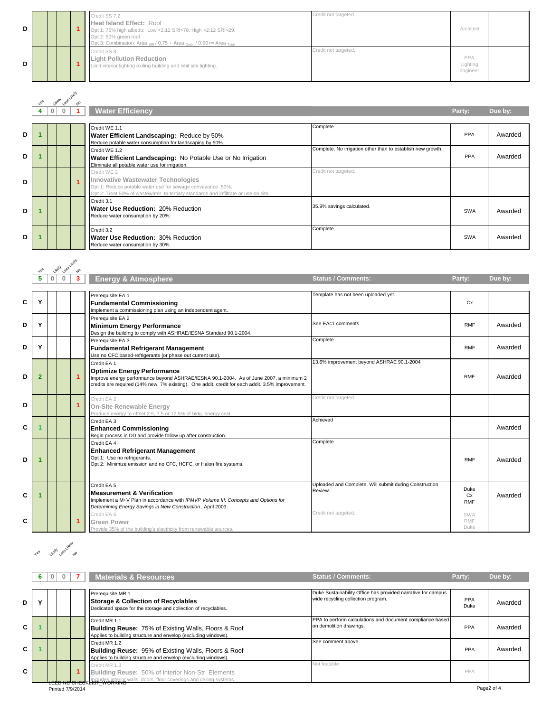| D |  |  | Credit SS 7.2<br><b>Heat Island Effect: Roof</b><br>Opt 1: 75% high albedo: Low <2:12 SRI>78; High >2:12 SRI>29.<br>Opt 2: 50% green roof.<br>Opt 3: Combination: Area $_{\text{SRI}}$ / 0.75 + Area $_{\text{Green}}$ / 0.50 > = Area $_{\text{Total}}$ | Credit not targeted. | Architect                   |  |
|---|--|--|----------------------------------------------------------------------------------------------------------------------------------------------------------------------------------------------------------------------------------------------------------|----------------------|-----------------------------|--|
| D |  |  | Credit SS 8<br><b>Light Pollution Reduction</b><br>Limit interior lighting exiting building and limit site lighting.                                                                                                                                     | Credit not targeted. | PPA<br>Lighting<br>engineer |  |

|   | $48^5$ | <b>UkeN</b> | Less Likely  | $\tau_{o}$ |                                                                                                                                                                                                        |                                                             |            |         |
|---|--------|-------------|--------------|------------|--------------------------------------------------------------------------------------------------------------------------------------------------------------------------------------------------------|-------------------------------------------------------------|------------|---------|
|   | 4      | 0           | $\mathbf{0}$ |            | <b>Water Efficiency</b>                                                                                                                                                                                |                                                             | Party:     | Due by: |
| D |        |             |              |            | Credit WE 1.1<br>Water Efficient Landscaping: Reduce by 50%<br>Reduce potable water consumption for landscaping by 50%.                                                                                | Complete                                                    | <b>PPA</b> | Awarded |
| D |        |             |              |            | Credit WE 1.2<br>Water Efficient Landscaping: No Potable Use or No Irrigation<br>Eliminate all potable water use for irrigation.                                                                       | Complete. No irrigation other than to establish new growth. | <b>PPA</b> | Awarded |
| D |        |             |              |            | Credit WE 2<br>Innovative Wastewater Technologies<br>Opt 1: Reduce potable water use for sewage conveyance 50%.<br>Opt 2: Treat 50% of wastewater to tertiary standards and infiltrate or use on site. | Credit not targeted.                                        |            |         |
| D |        |             |              |            | Credit 3.1<br>Water Use Reduction: 20% Reduction<br>Reduce water consumption by 20%.                                                                                                                   | 35.9% savings calculated.                                   | <b>SWA</b> | Awarded |
| D |        |             |              |            | Credit 3.2<br>Water Use Reduction: 30% Reduction<br>Reduce water consumption by 30%.                                                                                                                   | Complete                                                    | <b>SWA</b> | Awarded |

|   |                | Likely Lee Likely            |    |                                                                                                                                                                                                                                                 |                                                                   |                           |         |
|---|----------------|------------------------------|----|-------------------------------------------------------------------------------------------------------------------------------------------------------------------------------------------------------------------------------------------------|-------------------------------------------------------------------|---------------------------|---------|
|   | 5              | $\mathbf{0}$<br>$\mathbf{0}$ |    | <b>Energy &amp; Atmosphere</b>                                                                                                                                                                                                                  | <b>Status / Comments:</b>                                         | Party:                    | Due by: |
| C | Υ              |                              |    | Prerequisite EA 1<br><b>Fundamental Commissioning</b><br>Implement a commissioning plan using an independent agent.                                                                                                                             | Template has not been uploaded yet.                               | Cx                        |         |
| D | Y              |                              |    | Prerequisite EA 2<br><b>Minimum Energy Performance</b><br>Design the building to comply with ASHRAE/IESNA Standard 90.1-2004.                                                                                                                   | See EAc1 comments                                                 | <b>RMF</b>                | Awarded |
| D | Y              |                              |    | Prerequisite EA 3<br><b>Fundamental Refrigerant Management</b><br>Use no CFC based-refrigerants (or phase out current use).                                                                                                                     | Complete                                                          | <b>RMF</b>                | Awarded |
| D | $\overline{2}$ |                              | -1 | Credit EA 1<br><b>Optimize Energy Performance</b><br>Improve energy performance beyond ASHRAE/IESNA 90.1-2004. As of June 2007, a minimum 2<br>credits are required (14% new, 7% existing). One addit. credit for each addit. 3.5% improvement. | 13.6% improvement beyond ASHRAE 90.1-2004                         | <b>RMF</b>                | Awarded |
| D |                |                              | 1  | Credit EA 2<br><b>On-Site Renewable Energy</b><br>Produce energy to offset 2.5, 7.5 or 12.5% of bldg. energy cost.                                                                                                                              | Credit not targeted.                                              |                           |         |
| C |                |                              |    | Credit EA 3<br><b>Enhanced Commissioning</b><br>Begin process in DD and provide follow up after construction.                                                                                                                                   | Achieved                                                          |                           | Awarded |
| D |                |                              |    | Credit EA 4<br><b>Enhanced Refrigerant Management</b><br>Opt 1: Use no refrigerants.<br>Opt 2: Minimize emission and no CFC, HCFC, or Halon fire systems.                                                                                       | Complete                                                          | <b>RMF</b>                | Awarded |
| C |                |                              |    | Credit EA 5<br><b>Measurement &amp; Verification</b><br>Implement a M+V Plan in accordance with IPMVP Volume III: Concepts and Options for<br>Determining Energy Savings in New Construction, April 2003.                                       | Uploaded and Complete. Will submit during Construction<br>Review. | Duke<br>Cx<br><b>RMF</b>  | Awarded |
| С |                |                              | 1  | Credit EA 6<br><b>Green Power</b><br>Provide 35% of the building's electricity from renewable sources.                                                                                                                                          | Credit not targeted.                                              | SWA<br><b>RMF</b><br>Duke |         |

# Yes<sup>s (</sup>Health pass Likely)

|   | 6 |  |                  | <b>Materials &amp; Resources</b>                                                                                                                   | <b>Status / Comments:</b>                                                                          | Party:             | Due by:    |
|---|---|--|------------------|----------------------------------------------------------------------------------------------------------------------------------------------------|----------------------------------------------------------------------------------------------------|--------------------|------------|
| D |   |  |                  | Prerequisite MR 1<br>Storage & Collection of Recyclables<br>Dedicated space for the storage and collection of recyclables.                         | Duke Sustainability Office has provided narrative for campus<br>wide recycling collection program. | <b>PPA</b><br>Duke | Awarded    |
| C |   |  |                  | Credit MR 1.1<br><b>Building Reuse: 75% of Existing Walls, Floors &amp; Roof</b><br>Applies to building structure and envelop (excluding windows). | PPA to perform calculations and document compliance based<br>on demolition drawings.               | PPA                | Awarded    |
| C |   |  |                  | Credit MR 1.2<br><b>Building Reuse: 95% of Existing Walls, Floors &amp; Roof</b><br>Applies to building structure and envelop (excluding windows). | See comment above                                                                                  | PPA                | Awarded    |
| C |   |  |                  | Credit MR 1.3<br>Building Reuse: 50% of Interior Non-Str. Elements<br>LELD NO CHECKLISH WORKING Walls, doors, floor coverings and ceiling systems. | Not feasible                                                                                       | PPA                |            |
|   |   |  | Printed 7/9/2014 |                                                                                                                                                    |                                                                                                    |                    | Page2 of 4 |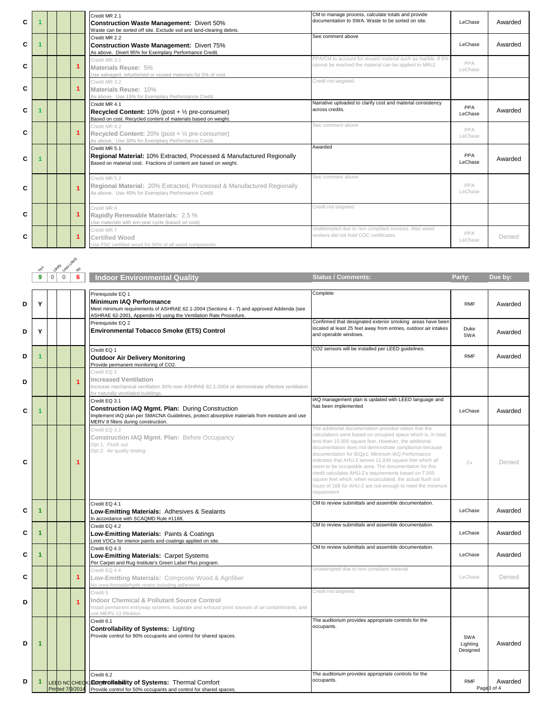| C |  |   | Credit MR 2.1<br><b>Construction Waste Management: Divert 50%</b><br>Waste can be sorted off site. Exclude soil and land-clearing debris.                   | CM to manage process, calculate totals and provide<br>documentation to SWA. Waste to be sorted on site.              | LeChase               | Awarded |
|---|--|---|-------------------------------------------------------------------------------------------------------------------------------------------------------------|----------------------------------------------------------------------------------------------------------------------|-----------------------|---------|
| C |  |   | Credit MR 2.2<br><b>Construction Waste Management: Divert 75%</b><br>As above. Divert 95% for Exemplary Performance Credit.                                 | See comment above                                                                                                    | LeChase               | Awarded |
| C |  |   | Credit MR 3.1<br>Materials Reuse: 5%<br>Use salvaged, refurbished or reused materials for 5% of cost.                                                       | PPA/CM to account for reused material such as marble. If 5%<br>cannot be reached the material can be applied to MRc2 | PPA<br>LeChase        |         |
| C |  |   | Credit MR 3.2<br>Materials Reuse: 10%<br>As above. Use 15% for Exemplary Performance Credit.                                                                | Credit not targeted.                                                                                                 |                       |         |
| C |  |   | Credit MR 4.1<br><b>Recycled Content:</b> $10\%$ (post + $\frac{1}{2}$ pre-consumer)<br>Based on cost. Recycled content of materials based on weight.       | Narrative uploaded to clarify cost and material consistency<br>across credits.                                       | <b>PPA</b><br>LeChase | Awarded |
| C |  |   | Credit MR 4.2<br><b>Recycled Content:</b> 20% (post $+$ $\frac{1}{2}$ pre-consumer)<br>As above. Use 30% for Exemplary Performance Credit.                  | See comment above                                                                                                    | PPA<br>LeChase        |         |
| C |  |   | Credit MR 5.1<br>Regional Material: 10% Extracted, Processed & Manufactured Regionally<br>Based on material cost. Fractions of content are based on weight. | Awarded                                                                                                              | PPA<br>LeChase        | Awarded |
| C |  | 4 | Credit MR 5.2<br>Regional Material: 20% Extracted, Processed & Manufactured Regionally<br>As above. Use 40% for Exemplary Performance Credit.               | See comment above                                                                                                    | PPA<br>LeChase        |         |
| C |  |   | Credit MR 6<br>Rapidly Renewable Materials: 2.5 %<br>Use materials with ten-year cycle (based on cost).                                                     | Credit not targeted.                                                                                                 |                       |         |
| C |  |   | Credit MR 7<br>Certified Wood<br>Use FSC certified wood for 50% of all wood components.                                                                     | Unattempted due to non compliant invoices. Also wood<br>workers did not hold COC certificates.                       | PPA<br>LeChase        | Denied  |

|   |   |             | Less Likely<br><b>LikeN</b> |                        |                                                                                                                                                                                                                      |                                                                                                                                                                                                                                                                                                                                                                                                                                                                                                                                                                                                                       |                             |                       |
|---|---|-------------|-----------------------------|------------------------|----------------------------------------------------------------------------------------------------------------------------------------------------------------------------------------------------------------------|-----------------------------------------------------------------------------------------------------------------------------------------------------------------------------------------------------------------------------------------------------------------------------------------------------------------------------------------------------------------------------------------------------------------------------------------------------------------------------------------------------------------------------------------------------------------------------------------------------------------------|-----------------------------|-----------------------|
|   | 9 | $\mathbf 0$ | $\mathbf 0$                 | $\overline{\phi}$<br>6 | <b>Indoor Environmental Quality</b>                                                                                                                                                                                  | <b>Status / Comments:</b>                                                                                                                                                                                                                                                                                                                                                                                                                                                                                                                                                                                             | Party:                      | Due by:               |
|   |   |             |                             |                        |                                                                                                                                                                                                                      |                                                                                                                                                                                                                                                                                                                                                                                                                                                                                                                                                                                                                       |                             |                       |
| D | Y |             |                             |                        | Prerequisite EQ 1<br><b>Minimum IAQ Performance</b><br>Meet minimum requirements of ASHRAE 62.1-2004 (Sections 4 - 7) and approved Addenda (see<br>ASHRAE 62-2001, Appendix H) using the Ventilation Rate Procedure. | Complete                                                                                                                                                                                                                                                                                                                                                                                                                                                                                                                                                                                                              | <b>RMF</b>                  | Awarded               |
| D | Υ |             |                             |                        | Prerequisite EQ 2<br><b>Environmental Tobacco Smoke (ETS) Control</b>                                                                                                                                                | Confirmed that designated exterior smoking areas have been<br>located at least 25 feet away from entries, outdoor air intakes<br>and operable windows.                                                                                                                                                                                                                                                                                                                                                                                                                                                                | Duke<br>SWA                 | Awarded               |
| D |   |             |                             |                        | Credit EQ 1<br><b>Outdoor Air Delivery Monitoring</b><br>Provide permanent monitoring of CO2.                                                                                                                        | CO2 sensors will be installed per LEED guidelines.                                                                                                                                                                                                                                                                                                                                                                                                                                                                                                                                                                    | <b>RMF</b>                  | Awarded               |
| D |   |             |                             |                        | Credit EQ 2<br><b>Increased Ventilation</b><br>Increase mechanical ventilation 30% over ASHRAE 62.1-2004 or demonstrate effective ventilation<br>or naturally ventilated buildings.                                  |                                                                                                                                                                                                                                                                                                                                                                                                                                                                                                                                                                                                                       |                             |                       |
| C |   |             |                             |                        | Credit EQ 3.1<br><b>Construction IAQ Mgmt. Plan: During Construction</b><br>Implement IAQ plan per SMACNA Guidelines, protect absorptive materials from moisture and use<br>MERV 8 filters during construction.      | IAQ management plan is updated with LEED language and<br>has been implemented                                                                                                                                                                                                                                                                                                                                                                                                                                                                                                                                         | LeChase                     | Awarded               |
| C |   |             |                             | 1                      | Credit EQ 3.2<br>Construction IAQ Mgmt. Plan: Before Occupancy<br>Opt 1: Flush out.<br>Opt 2: Air quality testing.                                                                                                   | The additional documentation provided states that the<br>calculations were based on occupied space which is, in total,<br>less than 15,000 square feet. However, the additional<br>documentation does not demonstrate compliance because<br>documentation for IEQp1: Minimum IAQ Performance<br>indicates that AHU-2 serves 11,646 square feet which all<br>seem to be occupiable area. The documentation for this<br>credit calculates AHU-2's requirements based on 7,000<br>square feet which, when recalculated, the actual flush out<br>hours of 168 for AHU-2 are not enough to meet the minimum<br>requirement | <b>C</b> <sub>X</sub>       | Denied                |
| C | 1 |             |                             |                        | Credit EQ 4.1<br>Low-Emitting Materials: Adhesives & Sealants<br>In accordance with SCAQMD Rule #1168.                                                                                                               | CM to review submittals and assemble documentation.                                                                                                                                                                                                                                                                                                                                                                                                                                                                                                                                                                   | LeChase                     | Awarded               |
| C |   |             |                             |                        | Credit EQ 4.2<br>Low-Emitting Materials: Paints & Coatings<br>imit VOCs for interior paints and coatings applied on site.                                                                                            | CM to review submittals and assemble documentation.                                                                                                                                                                                                                                                                                                                                                                                                                                                                                                                                                                   | LeChase                     | Awarded               |
| С | 1 |             |                             |                        | Credit EQ 4.3<br>Low-Emitting Materials: Carpet Systems<br>Per Carpet and Rug Institute's Green Label Plus program.                                                                                                  | CM to review submittals and assemble documentation.                                                                                                                                                                                                                                                                                                                                                                                                                                                                                                                                                                   | LeChase                     | Awarded               |
| C |   |             |                             | 1                      | Credit EQ 4.4<br>Low-Emitting Materials: Composite Wood & Agrifiber<br>No urea-formaldehyde resins including adhesives.                                                                                              | Unattempted due to non compliant material                                                                                                                                                                                                                                                                                                                                                                                                                                                                                                                                                                             | LeChase                     | Denied                |
| D |   |             |                             |                        | Credit 5<br><b>Indoor Chemical &amp; Pollutant Source Control</b><br>Install permanent entryway systems, separate and exhaust point sources of air contaminants, and<br>ise MERV 13 filtration.                      | Credit not targeted.                                                                                                                                                                                                                                                                                                                                                                                                                                                                                                                                                                                                  |                             |                       |
| D | 1 |             |                             |                        | Credit 6.1<br><b>Controllability of Systems: Lighting</b><br>Provide control for 90% occupants and control for shared spaces.                                                                                        | The auditorium provides appropriate controls for the<br>occupants.                                                                                                                                                                                                                                                                                                                                                                                                                                                                                                                                                    | SWA<br>Lighting<br>Designed | Awarded               |
| D | 1 |             |                             |                        | Credit 6.2<br>LEED NCCHECKLCOONtrollability of Systems: Thermal Comfort<br>Printed 7/9/2014 Provide control for 50% occupants and control for shared spaces.                                                         | The auditorium provides appropriate controls for the<br>occupants.                                                                                                                                                                                                                                                                                                                                                                                                                                                                                                                                                    | <b>RMF</b>                  | Awarded<br>Page3 of 4 |